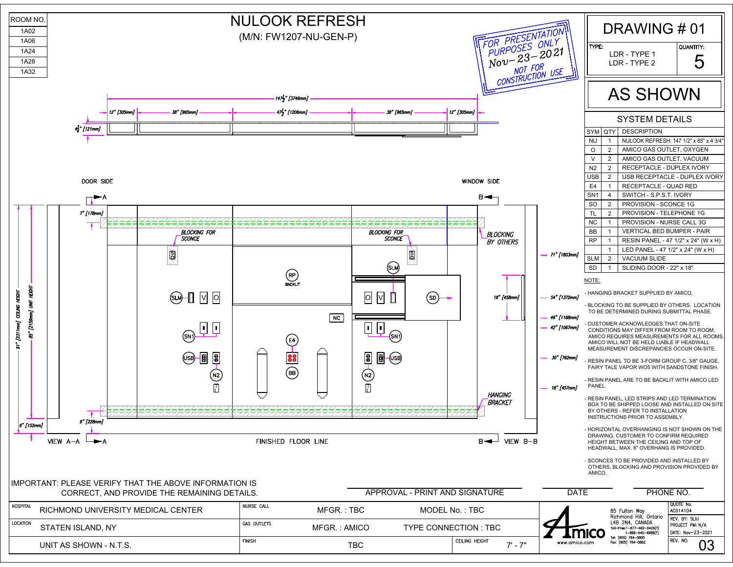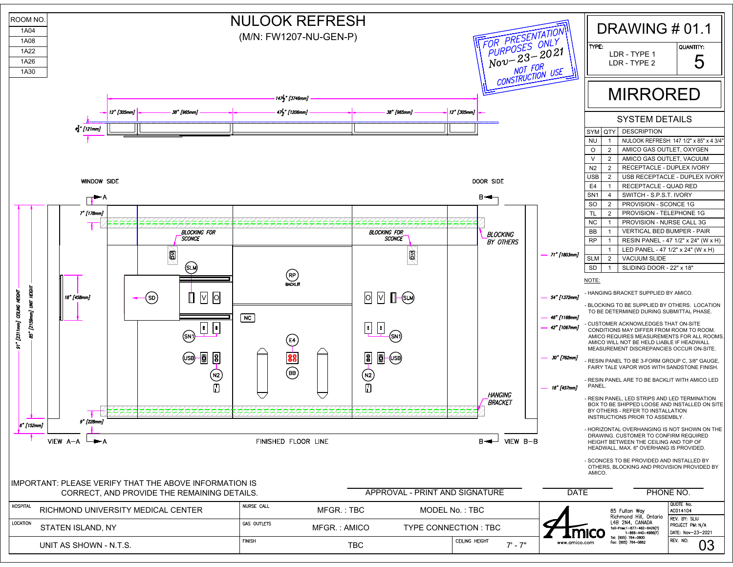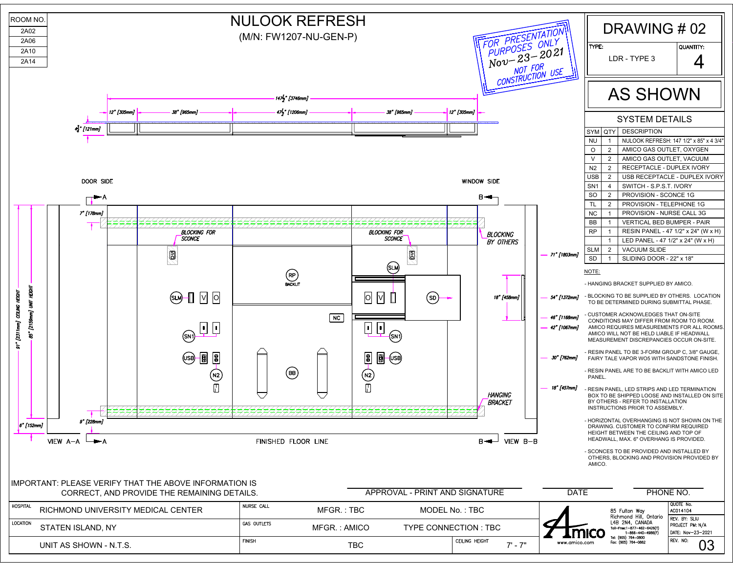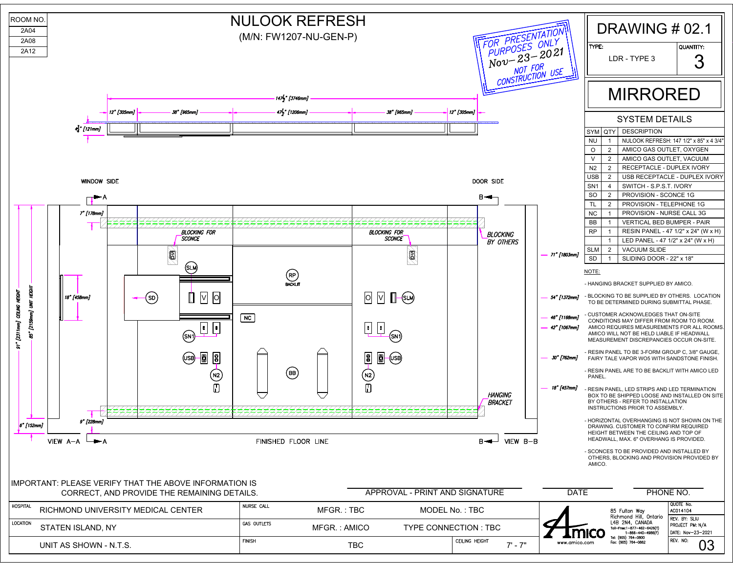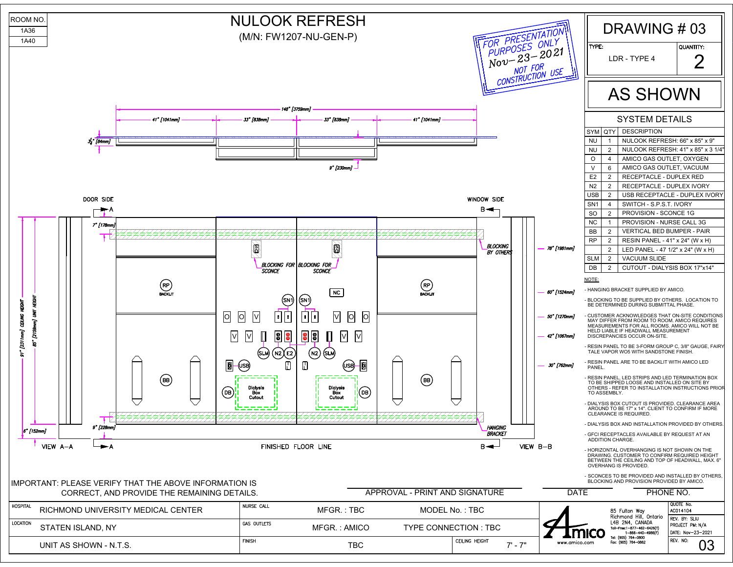